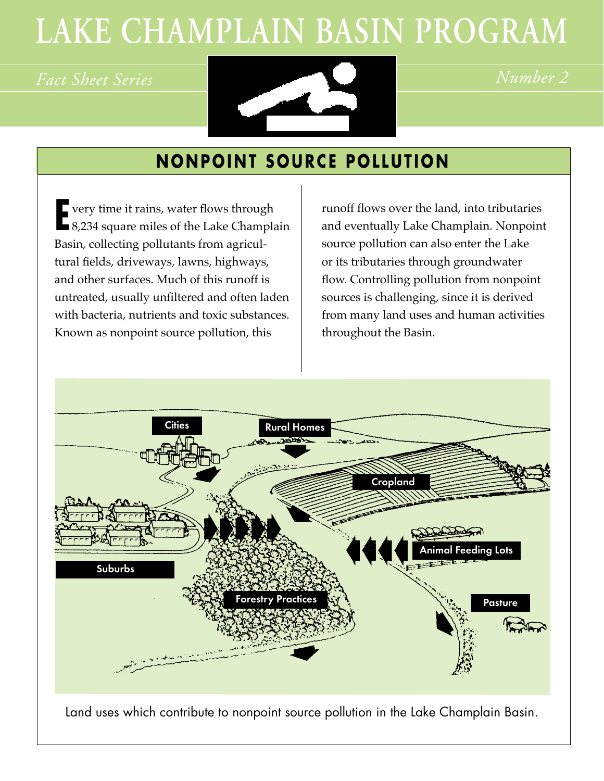# **LAKE CHAMPLAIN BASIN PROGRAM**



## **NONPOINT SOURCE POLLUTION**

**E** very time it rains, water flows through<br> **E** 8,234 square miles of the Lake Champla 8,234 square miles of the Lake Champlain Basin, collecting pollutants from agricultural fields, driveways, lawns, highways, and other surfaces. Much of this runoff is untreated, usually unfiltered and often laden with bacteria, nutrients and toxic substances. Known as nonpoint source pollution, this

runoff flows over the land, into tributaries and eventually Lake Champlain. Nonpoint source pollution can also enter the Lake or its tributaries through groundwater flow. Controlling pollution from nonpoint sources is challenging, since it is derived from many land uses and human activities throughout the Basin.

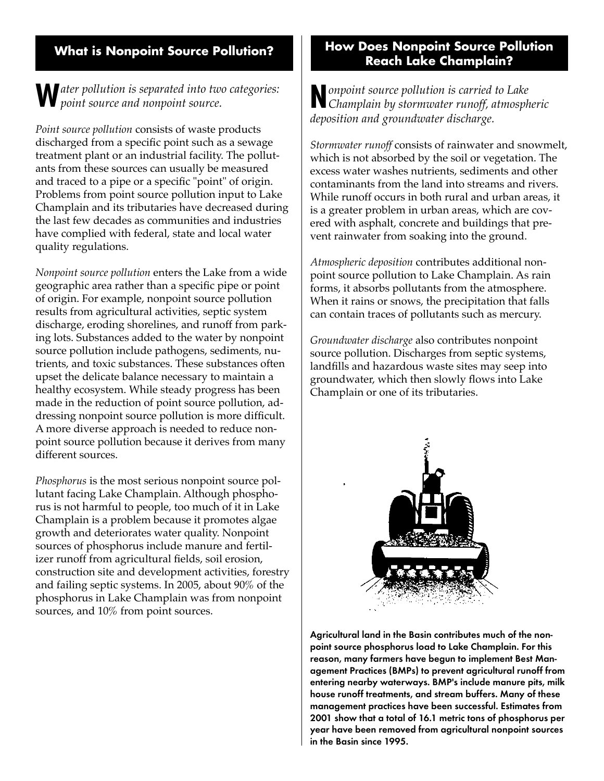#### **What is Nonpoint Source Pollution?**

#### **W***ater pollution is separated into two categories: point source and nonpoint source.*

*Point source pollution* consists of waste products discharged from a specific point such as a sewage treatment plant or an industrial facility. The pollutants from these sources can usually be measured and traced to a pipe or a specific "point" of origin. Problems from point source pollution input to Lake Champlain and its tributaries have decreased during the last few decades as communities and industries have complied with federal, state and local water quality regulations.

*Nonpoint source pollution* enters the Lake from a wide geographic area rather than a specific pipe or point of origin. For example, nonpoint source pollution results from agricultural activities, septic system discharge, eroding shorelines, and runoff from parking lots. Substances added to the water by nonpoint source pollution include pathogens, sediments, nutrients, and toxic substances. These substances often upset the delicate balance necessary to maintain a healthy ecosystem. While steady progress has been made in the reduction of point source pollution, addressing nonpoint source pollution is more difficult. A more diverse approach is needed to reduce nonpoint source pollution because it derives from many different sources.

*Phosphorus* is the most serious nonpoint source pollutant facing Lake Champlain. Although phosphorus is not harmful to people, too much of it in Lake Champlain is a problem because it promotes algae growth and deteriorates water quality. Nonpoint sources of phosphorus include manure and fertilizer runoff from agricultural fields, soil erosion, construction site and development activities, forestry and failing septic systems. In 2005, about 90% of the phosphorus in Lake Champlain was from nonpoint sources, and 10% from point sources.

#### **How Does Nonpoint Source Pollution Reach Lake Champlain?**

**N***onpoint source pollution is carried to Lake Champlain by stormwater runoff, atmospheric deposition and groundwater discharge.*

*Stormwater runoff* consists of rainwater and snowmelt, which is not absorbed by the soil or vegetation. The excess water washes nutrients, sediments and other contaminants from the land into streams and rivers. While runoff occurs in both rural and urban areas, it is a greater problem in urban areas, which are covered with asphalt, concrete and buildings that prevent rainwater from soaking into the ground.

*Atmospheric deposition* contributes additional nonpoint source pollution to Lake Champlain. As rain forms, it absorbs pollutants from the atmosphere. When it rains or snows, the precipitation that falls can contain traces of pollutants such as mercury.

*Groundwater discharge* also contributes nonpoint source pollution. Discharges from septic systems, landfills and hazardous waste sites may seep into groundwater, which then slowly flows into Lake Champlain or one of its tributaries.



Agricultural land in the Basin contributes much of the nonpoint source phosphorus load to Lake Champlain. For this reason, many farmers have begun to implement Best Management Practices (BMPs) to prevent agricultural runoff from entering nearby waterways. BMP's include manure pits, milk house runoff treatments, and stream buffers. Many of these management practices have been successful. Estimates from 2001 show that a total of 16.1 metric tons of phosphorus per year have been removed from agricultural nonpoint sources in the Basin since 1995.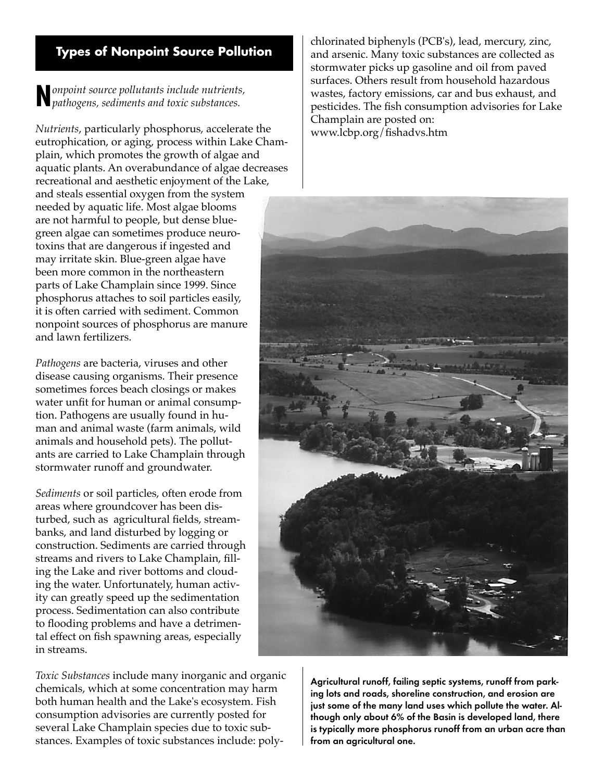#### **Types of Nonpoint Source Pollution**

**N***onpoint source pollutants include nutrients, pathogens, sediments and toxic substances.*

*Nutrients*, particularly phosphorus, accelerate the eutrophication, or aging, process within Lake Champlain, which promotes the growth of algae and aquatic plants. An overabundance of algae decreases recreational and aesthetic enjoyment of the Lake, and steals essential oxygen from the system needed by aquatic life. Most algae blooms are not harmful to people, but dense bluegreen algae can sometimes produce neurotoxins that are dangerous if ingested and may irritate skin. Blue-green algae have been more common in the northeastern parts of Lake Champlain since 1999. Since phosphorus attaches to soil particles easily, it is often carried with sediment. Common nonpoint sources of phosphorus are manure and lawn fertilizers.

*Pathogens* are bacteria, viruses and other disease causing organisms. Their presence sometimes forces beach closings or makes water unfit for human or animal consumption. Pathogens are usually found in human and animal waste (farm animals, wild animals and household pets). The pollutants are carried to Lake Champlain through stormwater runoff and groundwater.

*Sediments* or soil particles, often erode from areas where groundcover has been disturbed, such as agricultural fields, streambanks, and land disturbed by logging or construction. Sediments are carried through streams and rivers to Lake Champlain, filling the Lake and river bottoms and clouding the water. Unfortunately, human activity can greatly speed up the sedimentation process. Sedimentation can also contribute to flooding problems and have a detrimental effect on fish spawning areas, especially in streams.

*Toxic Substances* include many inorganic and organic chemicals, which at some concentration may harm both human health and the Lake's ecosystem. Fish consumption advisories are currently posted for several Lake Champlain species due to toxic substances. Examples of toxic substances include: polychlorinated biphenyls (PCB's), lead, mercury, zinc, and arsenic. Many toxic substances are collected as stormwater picks up gasoline and oil from paved surfaces. Others result from household hazardous wastes, factory emissions, car and bus exhaust, and pesticides. The fish consumption advisories for Lake Champlain are posted on: www.lcbp.org/fishadvs.htm



Agricultural runoff, failing septic systems, runoff from parking lots and roads, shoreline construction, and erosion are just some of the many land uses which pollute the water. Although only about 6% of the Basin is developed land, there is typically more phosphorus runoff from an urban acre than from an agricultural one.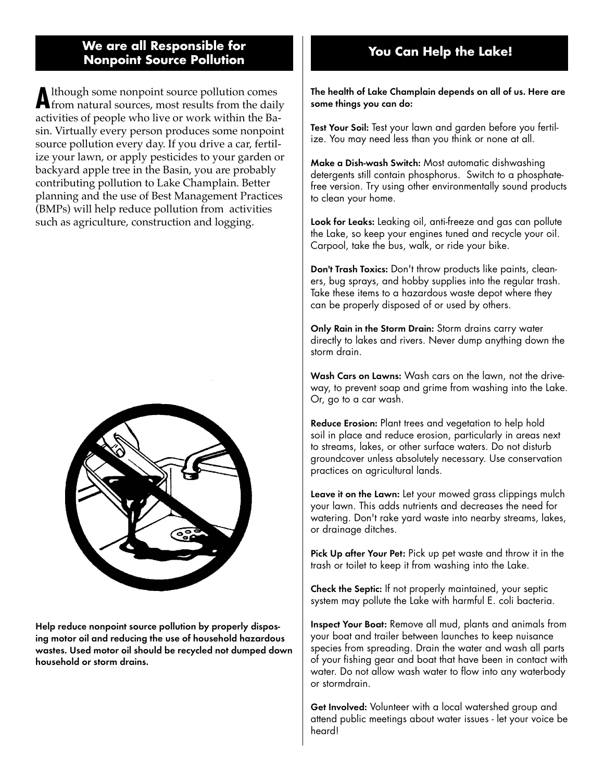## **We are all Responsible for You Can Help the Lake! Nonpoint Source Pollution**

**A**lthough some nonpoint source pollution comes from natural sources, most results from the daily activities of people who live or work within the Basin. Virtually every person produces some nonpoint source pollution every day. If you drive a car, fertilize your lawn, or apply pesticides to your garden or backyard apple tree in the Basin, you are probably contributing pollution to Lake Champlain. Better planning and the use of Best Management Practices (BMPs) will help reduce pollution from activities such as agriculture, construction and logging.



Help reduce nonpoint source pollution by properly disposing motor oil and reducing the use of household hazardous wastes. Used motor oil should be recycled not dumped down household or storm drains.

The health of Lake Champlain depends on all of us. Here are some things you can do:

Test Your Soil: Test your lawn and garden before you fertilize. You may need less than you think or none at all.

Make a Dish-wash Switch: Most automatic dishwashing detergents still contain phosphorus. Switch to a phosphatefree version. Try using other environmentally sound products to clean your home.

Look for Leaks: Leaking oil, anti-freeze and gas can pollute the Lake, so keep your engines tuned and recycle your oil. Carpool, take the bus, walk, or ride your bike.

Don't Trash Toxics: Don't throw products like paints, cleaners, bug sprays, and hobby supplies into the regular trash. Take these items to a hazardous waste depot where they can be properly disposed of or used by others.

Only Rain in the Storm Drain: Storm drains carry water directly to lakes and rivers. Never dump anything down the storm drain.

Wash Cars on Lawns: Wash cars on the lawn, not the driveway, to prevent soap and grime from washing into the Lake. Or, go to a car wash.

Reduce Erosion: Plant trees and vegetation to help hold soil in place and reduce erosion, particularly in areas next to streams, lakes, or other surface waters. Do not disturb groundcover unless absolutely necessary. Use conservation practices on agricultural lands.

Leave it on the Lawn: Let your mowed grass clippings mulch your lawn. This adds nutrients and decreases the need for watering. Don't rake yard waste into nearby streams, lakes, or drainage ditches.

Pick Up after Your Pet: Pick up pet waste and throw it in the trash or toilet to keep it from washing into the Lake.

Check the Septic: If not properly maintained, your septic system may pollute the Lake with harmful E. coli bacteria.

Inspect Your Boat: Remove all mud, plants and animals from your boat and trailer between launches to keep nuisance species from spreading. Drain the water and wash all parts of your fishing gear and boat that have been in contact with water. Do not allow wash water to flow into any waterbody or stormdrain.

Get Involved: Volunteer with a local watershed group and attend public meetings about water issues - let your voice be heard!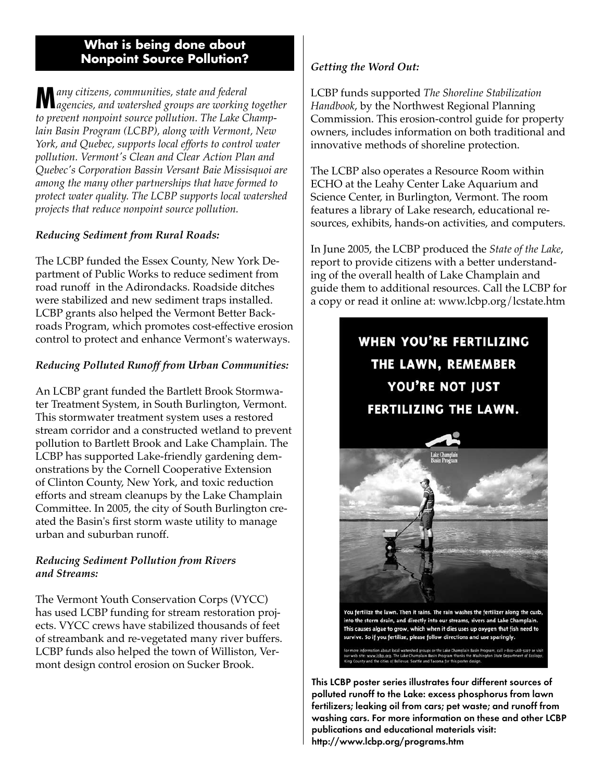#### **What is being done about Nonpoint Source Pollution?**

**M***any citizens, communities, state and federal agencies, and watershed groups are working together to prevent nonpoint source pollution. The Lake Champlain Basin Program (LCBP), along with Vermont, New York, and Quebec, supports local efforts to control water pollution. Vermont's Clean and Clear Action Plan and Quebec's Corporation Bassin Versant Baie Missisquoi are among the many other partnerships that have formed to protect water quality. The LCBP supports local watershed projects that reduce nonpoint source pollution.*

#### *Reducing Sediment from Rural Roads:*

The LCBP funded the Essex County, New York Department of Public Works to reduce sediment from road runoff in the Adirondacks. Roadside ditches were stabilized and new sediment traps installed. LCBP grants also helped the Vermont Better Backroads Program, which promotes cost-effective erosion control to protect and enhance Vermont's waterways.

#### *Reducing Polluted Runoff from Urban Communities:*

An LCBP grant funded the Bartlett Brook Stormwater Treatment System, in South Burlington, Vermont. This stormwater treatment system uses a restored stream corridor and a constructed wetland to prevent pollution to Bartlett Brook and Lake Champlain. The LCBP has supported Lake-friendly gardening demonstrations by the Cornell Cooperative Extension of Clinton County, New York, and toxic reduction efforts and stream cleanups by the Lake Champlain Committee. In 2005, the city of South Burlington created the Basin's first storm waste utility to manage urban and suburban runoff.

#### *Reducing Sediment Pollution from Rivers and Streams:*

The Vermont Youth Conservation Corps (VYCC) has used LCBP funding for stream restoration projects. VYCC crews have stabilized thousands of feet of streambank and re-vegetated many river buffers. LCBP funds also helped the town of Williston, Vermont design control erosion on Sucker Brook.

#### *Getting the Word Out:*

LCBP funds supported *The Shoreline Stabilization Handbook*, by the Northwest Regional Planning Commission. This erosion-control guide for property owners, includes information on both traditional and innovative methods of shoreline protection.

The LCBP also operates a Resource Room within ECHO at the Leahy Center Lake Aquarium and Science Center, in Burlington, Vermont. The room features a library of Lake research, educational resources, exhibits, hands-on activities, and computers.

In June 2005, the LCBP produced the *State of the Lake*, report to provide citizens with a better understanding of the overall health of Lake Champlain and guide them to additional resources. Call the LCBP for a copy or read it online at: www.lcbp.org/lcstate.htm

### **WHEN YOU'RE FERTILIZING** THE LAWN, REMEMBER YOU'RE NOT JUST FERTILIZING THE LAWN.



into the storm drain, and directly into our streams, rivers and Lake Champlain. This causes algae to grow, which when it dies uses up oxygen that fish need to survive. So if you fertilize, please follow directions and use sparingly.

es of Bellevue, Seattle and Tacoma for this p

This LCBP poster series illustrates four different sources of polluted runoff to the Lake: excess phosphorus from lawn fertilizers; leaking oil from cars; pet waste; and runoff from washing cars. For more information on these and other LCBP publications and educational materials visit: http://www.lcbp.org/programs.htm